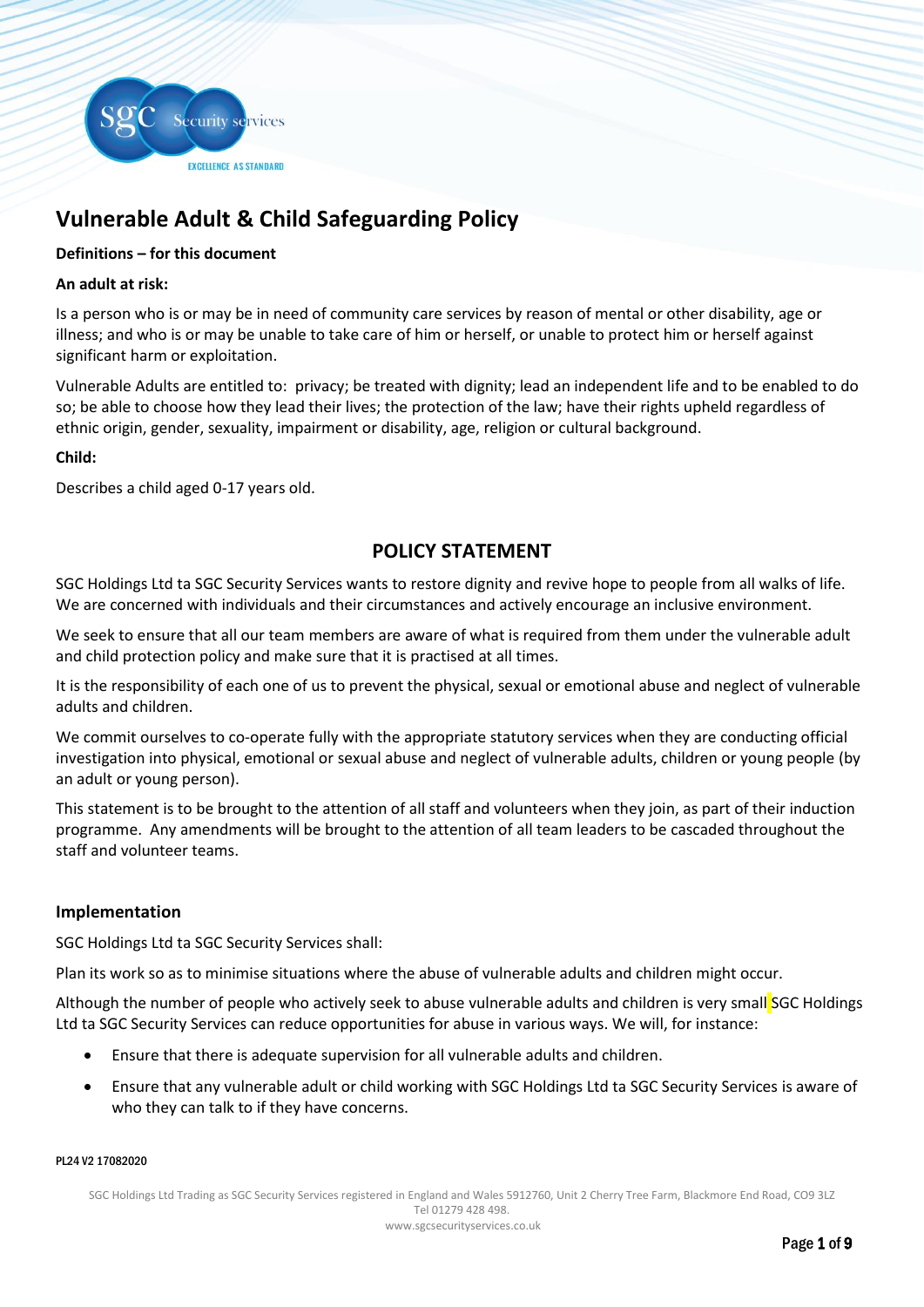

# **Vulnerable Adult & Child Safeguarding Policy**

## **Definitions – for this document**

## **An adult at risk:**

Is a person who is or may be in need of community care services by reason of mental or other disability, age or illness; and who is or may be unable to take care of him or herself, or unable to protect him or herself against significant harm or exploitation.

Vulnerable Adults are entitled to: privacy; be treated with dignity; lead an independent life and to be enabled to do so; be able to choose how they lead their lives; the protection of the law; have their rights upheld regardless of ethnic origin, gender, sexuality, impairment or disability, age, religion or cultural background.

#### **Child:**

Describes a child aged 0-17 years old.

# **POLICY STATEMENT**

SGC Holdings Ltd ta SGC Security Services wants to restore dignity and revive hope to people from all walks of life. We are concerned with individuals and their circumstances and actively encourage an inclusive environment.

We seek to ensure that all our team members are aware of what is required from them under the vulnerable adult and child protection policy and make sure that it is practised at all times.

It is the responsibility of each one of us to prevent the physical, sexual or emotional abuse and neglect of vulnerable adults and children.

We commit ourselves to co-operate fully with the appropriate statutory services when they are conducting official investigation into physical, emotional or sexual abuse and neglect of vulnerable adults, children or young people (by an adult or young person).

This statement is to be brought to the attention of all staff and volunteers when they join, as part of their induction programme. Any amendments will be brought to the attention of all team leaders to be cascaded throughout the staff and volunteer teams.

## **Implementation**

SGC Holdings Ltd ta SGC Security Services shall:

Plan its work so as to minimise situations where the abuse of vulnerable adults and children might occur.

Although the number of people who actively seek to abuse vulnerable adults and children is very small SGC Holdings Ltd ta SGC Security Services can reduce opportunities for abuse in various ways. We will, for instance:

- Ensure that there is adequate supervision for all vulnerable adults and children.
- Ensure that any vulnerable adult or child working with SGC Holdings Ltd ta SGC Security Services is aware of who they can talk to if they have concerns.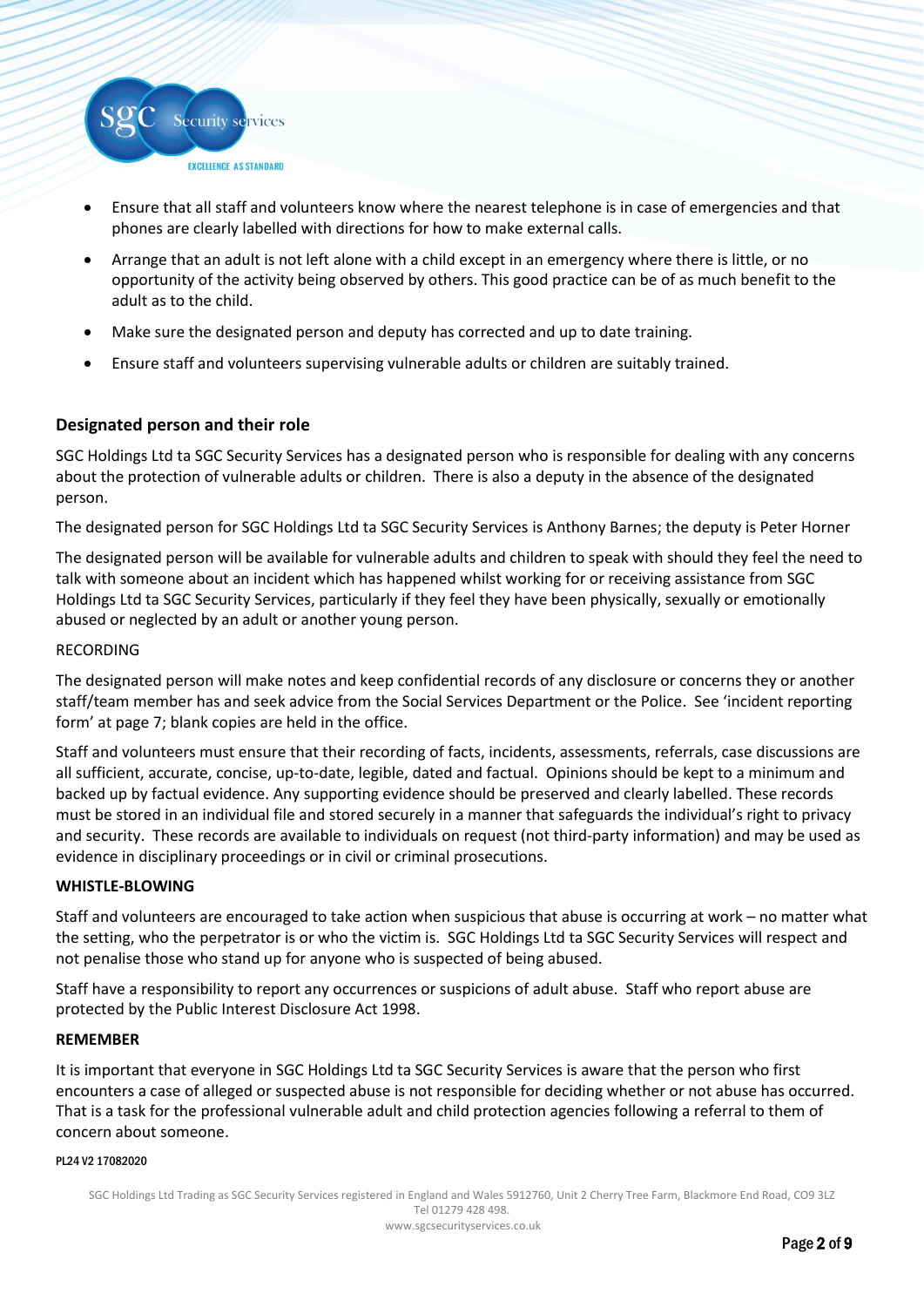

- Ensure that all staff and volunteers know where the nearest telephone is in case of emergencies and that phones are clearly labelled with directions for how to make external calls.
- Arrange that an adult is not left alone with a child except in an emergency where there is little, or no opportunity of the activity being observed by others. This good practice can be of as much benefit to the adult as to the child.
- Make sure the designated person and deputy has corrected and up to date training.
- Ensure staff and volunteers supervising vulnerable adults or children are suitably trained.

# **Designated person and their role**

SGC Holdings Ltd ta SGC Security Services has a designated person who is responsible for dealing with any concerns about the protection of vulnerable adults or children. There is also a deputy in the absence of the designated person.

The designated person for SGC Holdings Ltd ta SGC Security Services is Anthony Barnes; the deputy is Peter Horner

The designated person will be available for vulnerable adults and children to speak with should they feel the need to talk with someone about an incident which has happened whilst working for or receiving assistance from SGC Holdings Ltd ta SGC Security Services, particularly if they feel they have been physically, sexually or emotionally abused or neglected by an adult or another young person.

#### RECORDING

The designated person will make notes and keep confidential records of any disclosure or concerns they or another staff/team member has and seek advice from the Social Services Department or the Police. See 'incident reporting form' at page 7; blank copies are held in the office.

Staff and volunteers must ensure that their recording of facts, incidents, assessments, referrals, case discussions are all sufficient, accurate, concise, up-to-date, legible, dated and factual. Opinions should be kept to a minimum and backed up by factual evidence. Any supporting evidence should be preserved and clearly labelled. These records must be stored in an individual file and stored securely in a manner that safeguards the individual's right to privacy and security. These records are available to individuals on request (not third-party information) and may be used as evidence in disciplinary proceedings or in civil or criminal prosecutions.

#### **WHISTLE-BLOWING**

Staff and volunteers are encouraged to take action when suspicious that abuse is occurring at work – no matter what the setting, who the perpetrator is or who the victim is. SGC Holdings Ltd ta SGC Security Services will respect and not penalise those who stand up for anyone who is suspected of being abused.

Staff have a responsibility to report any occurrences or suspicions of adult abuse. Staff who report abuse are protected by the Public Interest Disclosure Act 1998.

#### **REMEMBER**

It is important that everyone in SGC Holdings Ltd ta SGC Security Services is aware that the person who first encounters a case of alleged or suspected abuse is not responsible for deciding whether or not abuse has occurred. That is a task for the professional vulnerable adult and child protection agencies following a referral to them of concern about someone.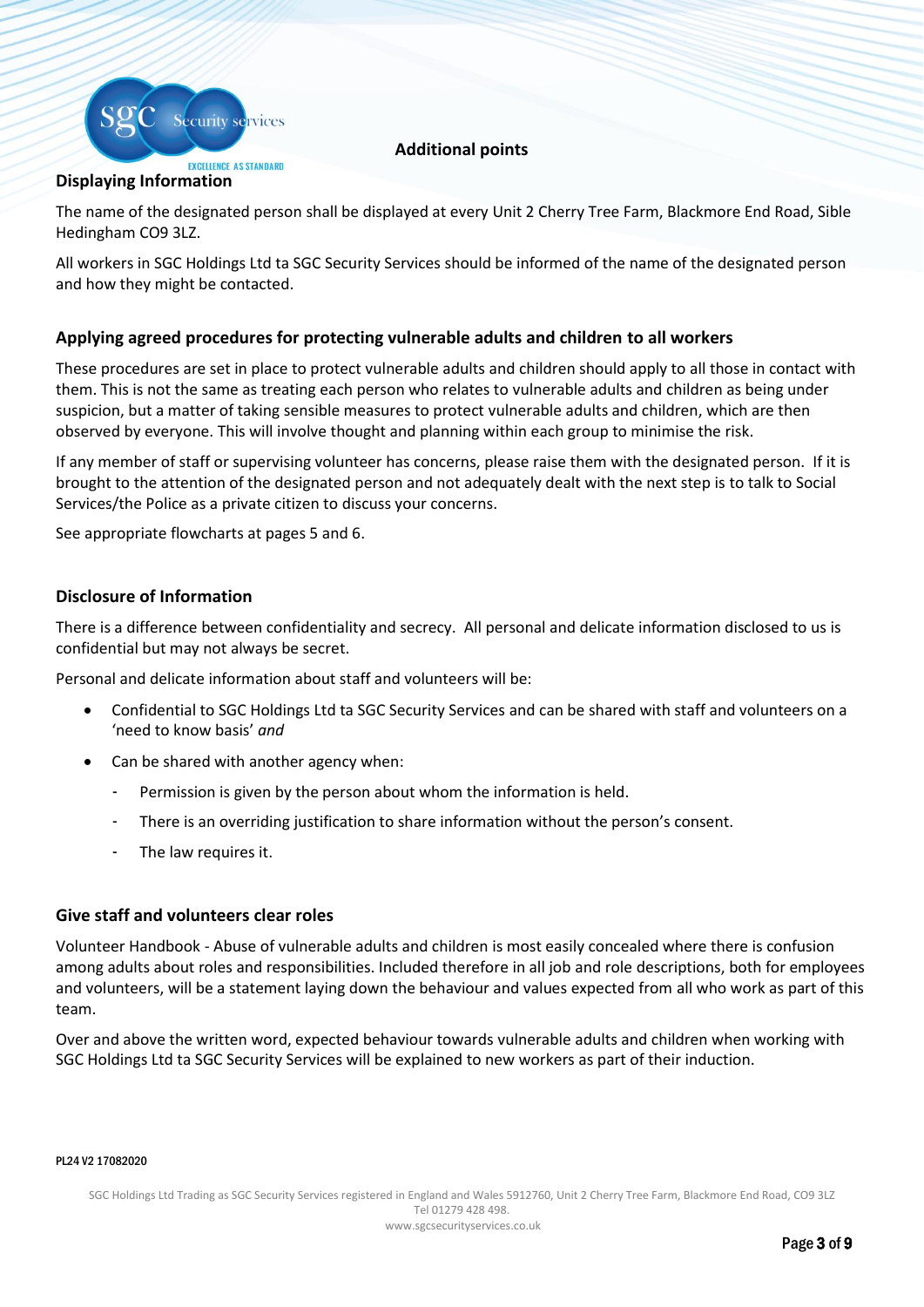

# **Additional points**

# **Displaying Information**

The name of the designated person shall be displayed at every Unit 2 Cherry Tree Farm, Blackmore End Road, Sible Hedingham CO9 3LZ.

All workers in SGC Holdings Ltd ta SGC Security Services should be informed of the name of the designated person and how they might be contacted.

# **Applying agreed procedures for protecting vulnerable adults and children to all workers**

These procedures are set in place to protect vulnerable adults and children should apply to all those in contact with them. This is not the same as treating each person who relates to vulnerable adults and children as being under suspicion, but a matter of taking sensible measures to protect vulnerable adults and children, which are then observed by everyone. This will involve thought and planning within each group to minimise the risk.

If any member of staff or supervising volunteer has concerns, please raise them with the designated person. If it is brought to the attention of the designated person and not adequately dealt with the next step is to talk to Social Services/the Police as a private citizen to discuss your concerns.

See appropriate flowcharts at pages 5 and 6.

# **Disclosure of Information**

There is a difference between confidentiality and secrecy. All personal and delicate information disclosed to us is confidential but may not always be secret.

Personal and delicate information about staff and volunteers will be:

- Confidential to SGC Holdings Ltd ta SGC Security Services and can be shared with staff and volunteers on a 'need to know basis' *and*
- Can be shared with another agency when:
	- Permission is given by the person about whom the information is held.
	- There is an overriding justification to share information without the person's consent.
	- The law requires it.

## **Give staff and volunteers clear roles**

Volunteer Handbook - Abuse of vulnerable adults and children is most easily concealed where there is confusion among adults about roles and responsibilities. Included therefore in all job and role descriptions, both for employees and volunteers, will be a statement laying down the behaviour and values expected from all who work as part of this team.

Over and above the written word, expected behaviour towards vulnerable adults and children when working with SGC Holdings Ltd ta SGC Security Services will be explained to new workers as part of their induction.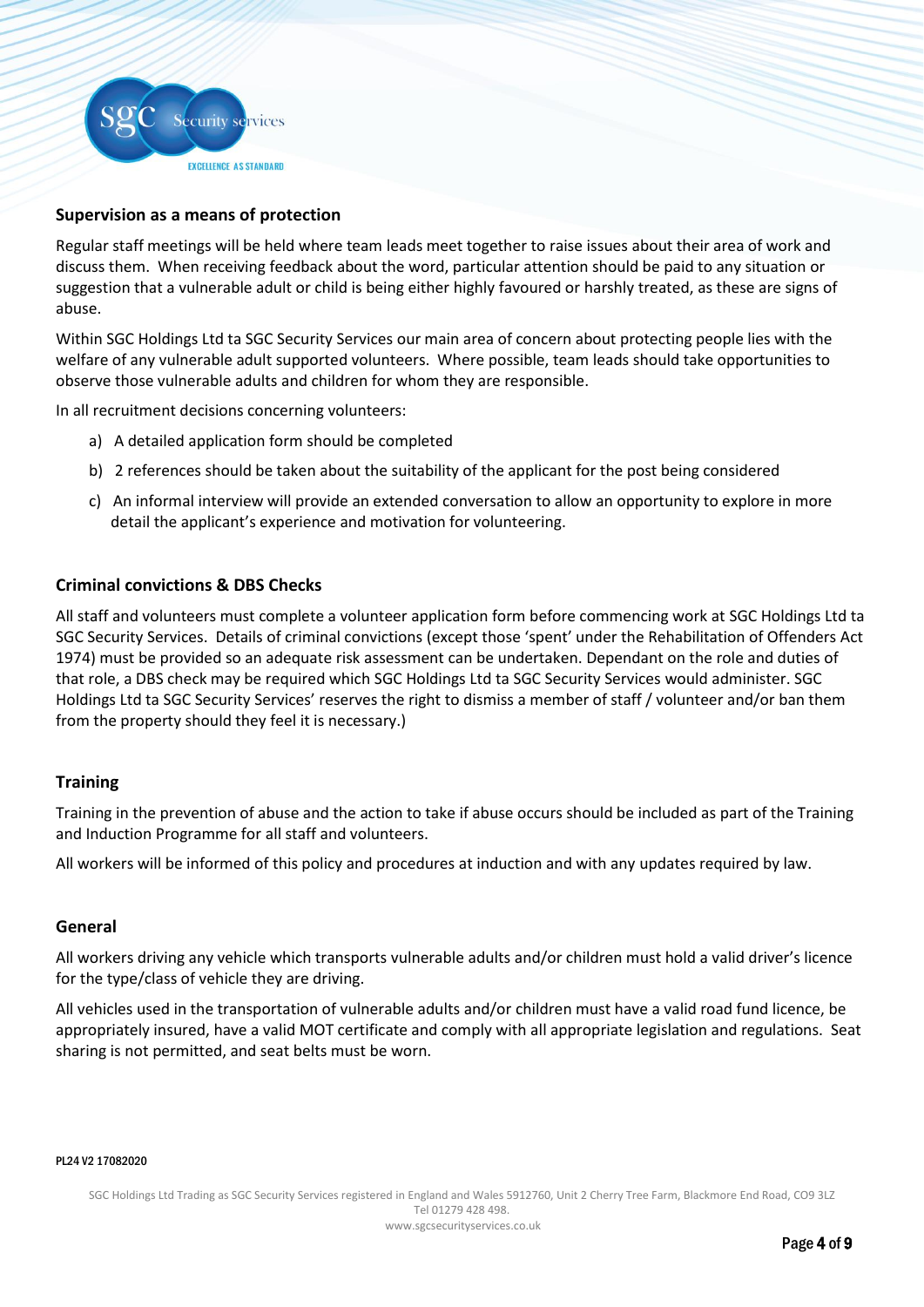

## **Supervision as a means of protection**

Regular staff meetings will be held where team leads meet together to raise issues about their area of work and discuss them. When receiving feedback about the word, particular attention should be paid to any situation or suggestion that a vulnerable adult or child is being either highly favoured or harshly treated, as these are signs of abuse.

Within SGC Holdings Ltd ta SGC Security Services our main area of concern about protecting people lies with the welfare of any vulnerable adult supported volunteers. Where possible, team leads should take opportunities to observe those vulnerable adults and children for whom they are responsible.

In all recruitment decisions concerning volunteers:

- a) A detailed application form should be completed
- b) 2 references should be taken about the suitability of the applicant for the post being considered
- c) An informal interview will provide an extended conversation to allow an opportunity to explore in more detail the applicant's experience and motivation for volunteering.

#### **Criminal convictions & DBS Checks**

All staff and volunteers must complete a volunteer application form before commencing work at SGC Holdings Ltd ta SGC Security Services. Details of criminal convictions (except those 'spent' under the Rehabilitation of Offenders Act 1974) must be provided so an adequate risk assessment can be undertaken. Dependant on the role and duties of that role, a DBS check may be required which SGC Holdings Ltd ta SGC Security Services would administer. SGC Holdings Ltd ta SGC Security Services' reserves the right to dismiss a member of staff / volunteer and/or ban them from the property should they feel it is necessary.)

## **Training**

Training in the prevention of abuse and the action to take if abuse occurs should be included as part of the Training and Induction Programme for all staff and volunteers.

All workers will be informed of this policy and procedures at induction and with any updates required by law.

#### **General**

All workers driving any vehicle which transports vulnerable adults and/or children must hold a valid driver's licence for the type/class of vehicle they are driving.

All vehicles used in the transportation of vulnerable adults and/or children must have a valid road fund licence, be appropriately insured, have a valid MOT certificate and comply with all appropriate legislation and regulations. Seat sharing is not permitted, and seat belts must be worn.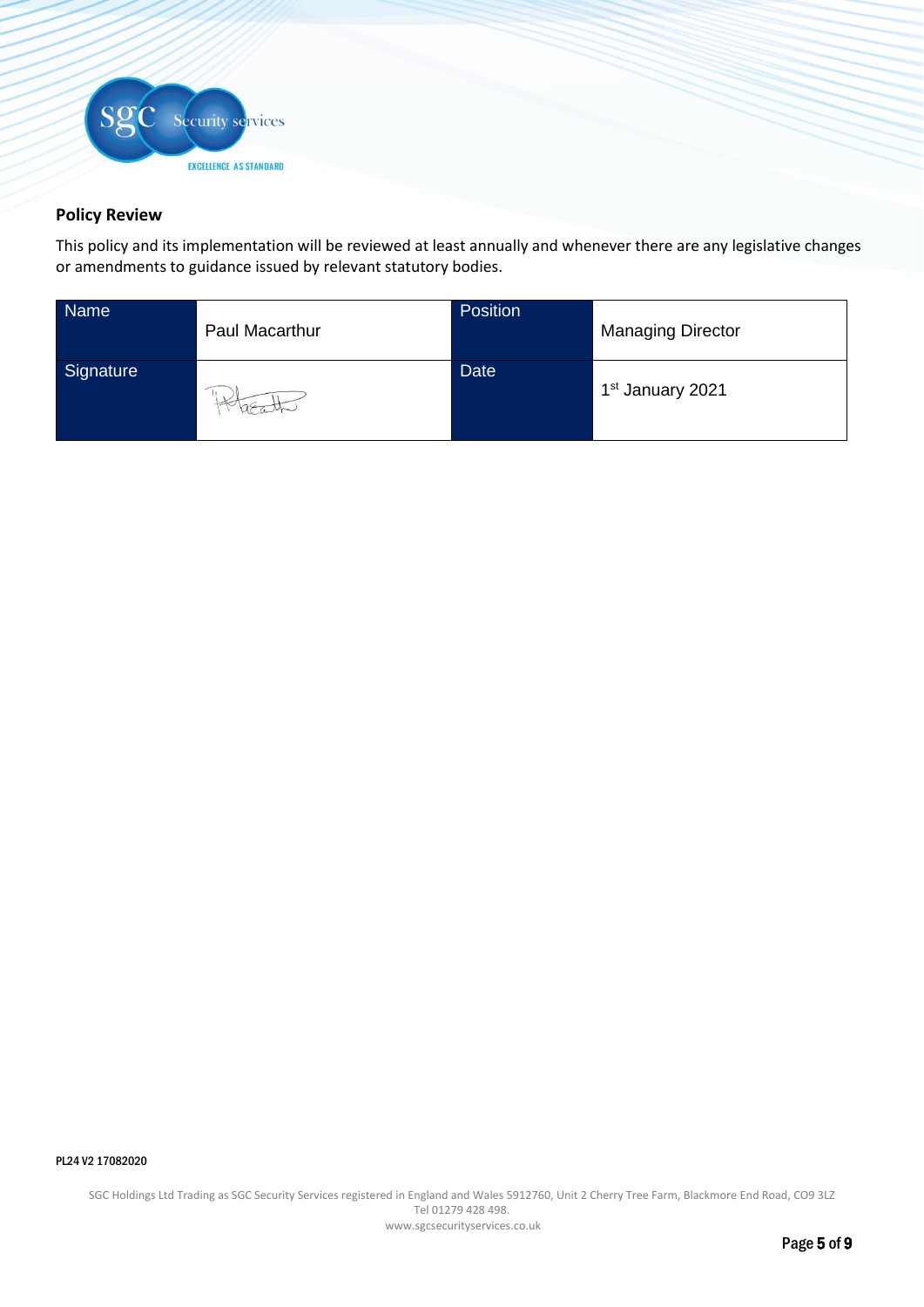

# **Policy Review**

This policy and its implementation will be reviewed at least annually and whenever there are any legislative changes or amendments to guidance issued by relevant statutory bodies.

| Name      | Paul Macarthur | Position    | <b>Managing Director</b>     |
|-----------|----------------|-------------|------------------------------|
| Signature |                | <b>Date</b> | 1 <sup>st</sup> January 2021 |

#### PL24 V2 17082020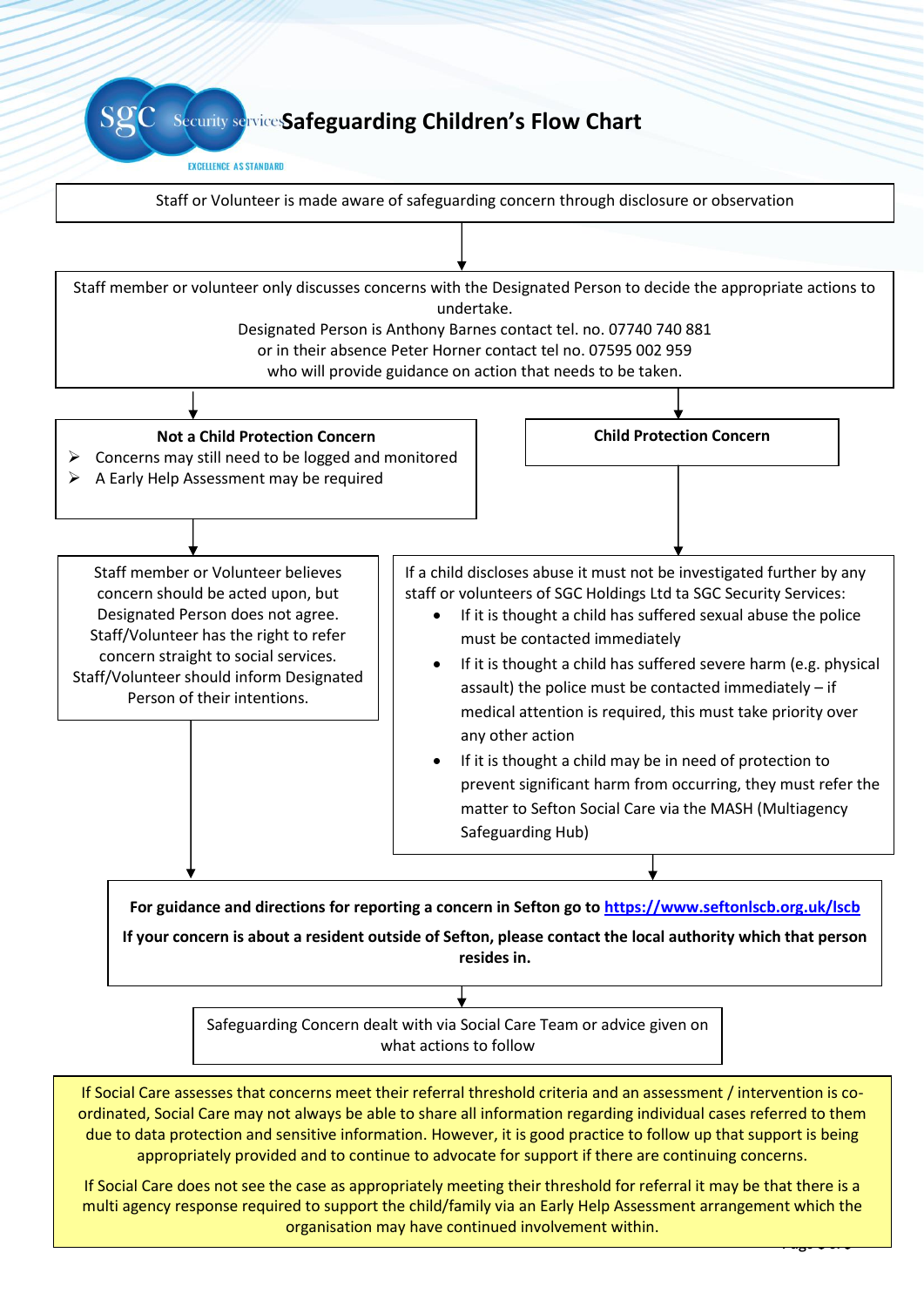**Security service:Safeguarding Children's Flow Chart** 

#### **EXCELLENCE AS STANDARD**



PL<sub>24</sub> V2 1708202020 due to data protection and sensitive information. However, it is good practice to follow up that support is being appropriately provided and to continue to advocate for support if there are continuing concerns.

SGC Security Services Registered in England and Wales 5912760, Unit 2 Cherry Tree Farm, Blackmore England and W multi agency response required to support the child/family via an Early Help Assessment arrangement which the organisation may have continued involvement within.  $\frac{1}{2}$  or  $\frac{1}{2}$  or  $\frac{1}{2}$  or  $\frac{1}{2}$  or  $\frac{1}{2}$ If Social Care does not see the case as appropriately meeting their threshold for referral it may be that there is a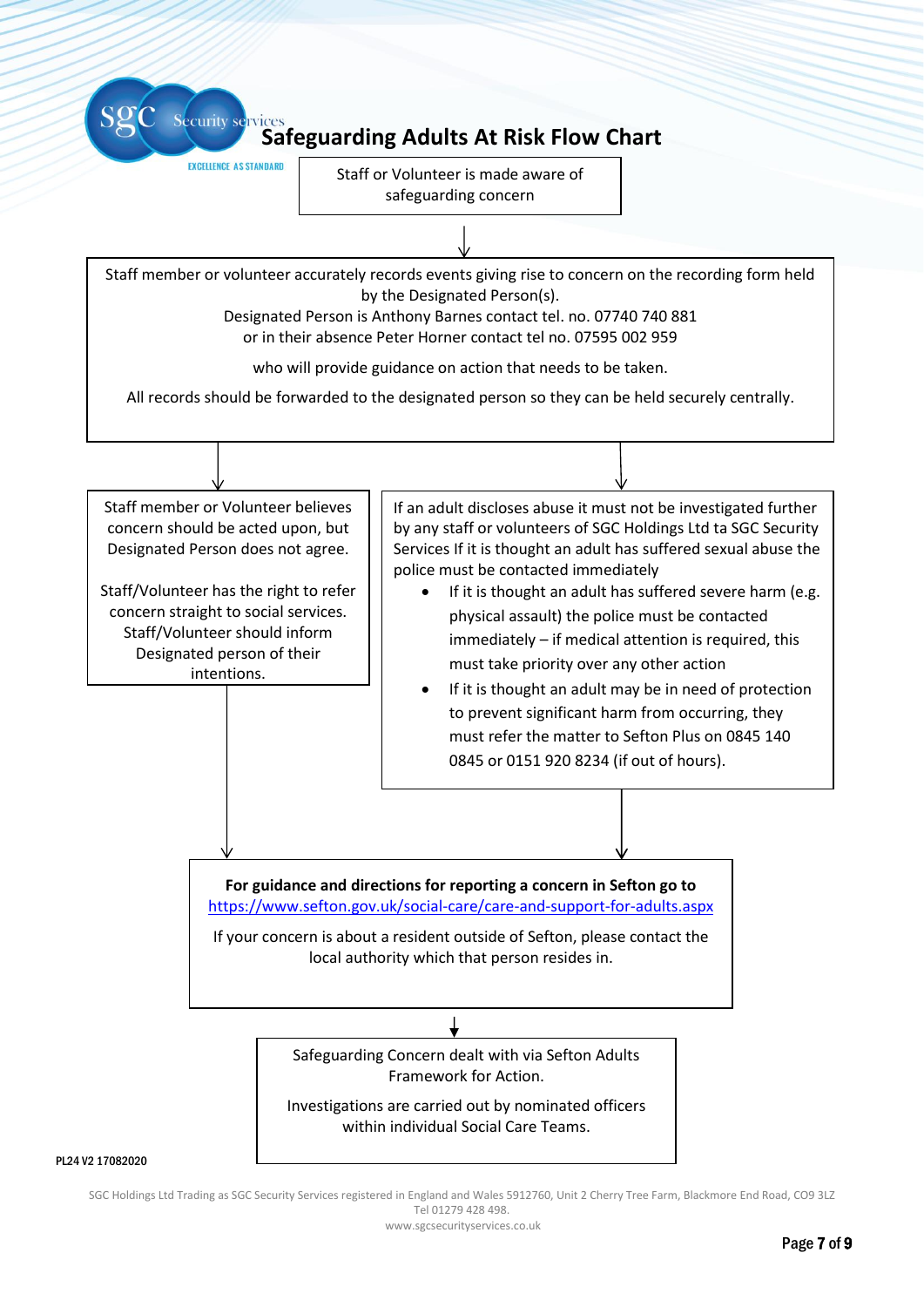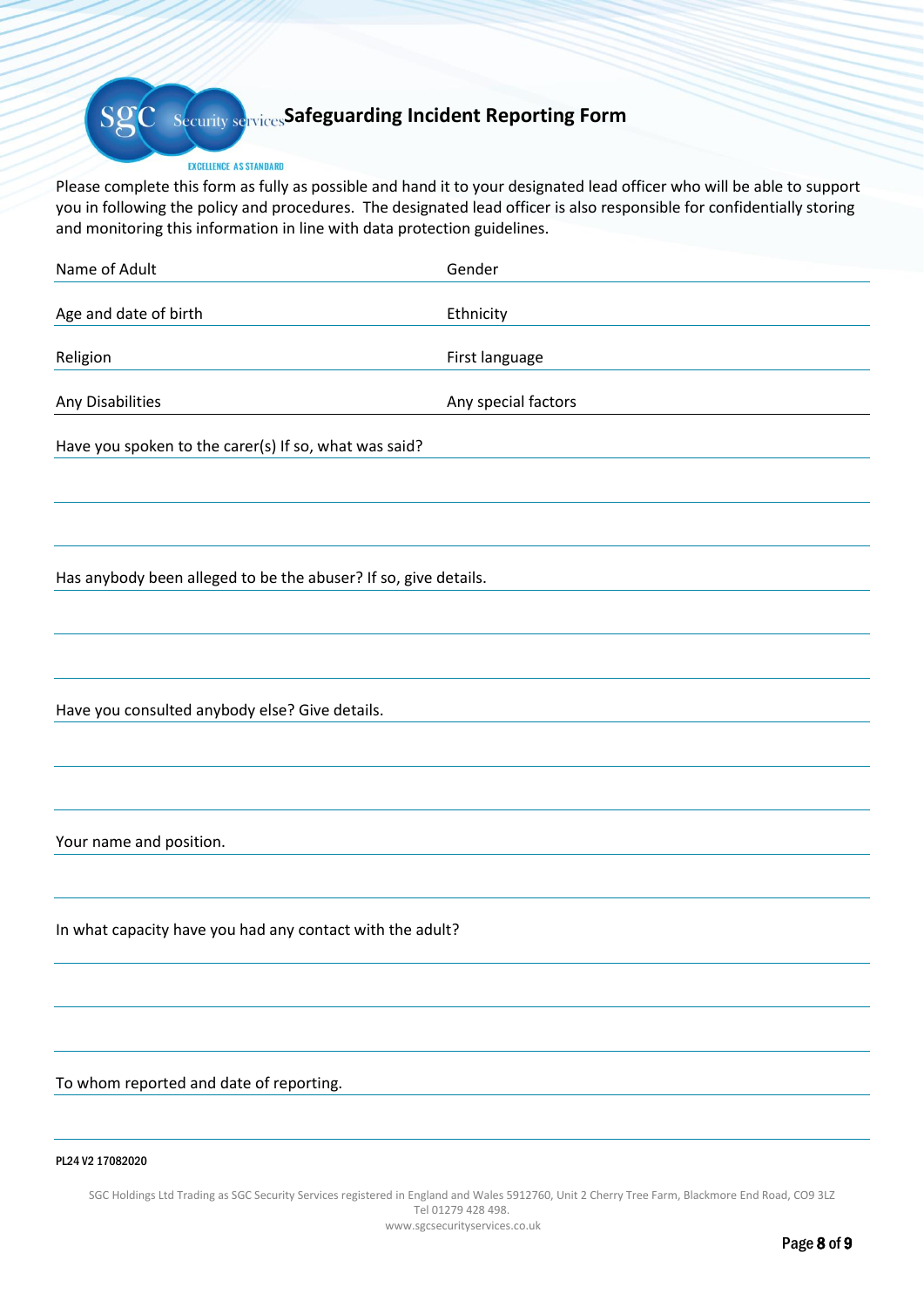# **Security services Safeguarding Incident Reporting Form**

#### EXCELLENCE AS STANDARD

Please complete this form as fully as possible and hand it to your designated lead officer who will be able to support you in following the policy and procedures. The designated lead officer is also responsible for confidentially storing and monitoring this information in line with data protection guidelines.

| Name of Adult                                                   | Gender              |  |
|-----------------------------------------------------------------|---------------------|--|
| Age and date of birth                                           | Ethnicity           |  |
| Religion                                                        | First language      |  |
| Any Disabilities                                                | Any special factors |  |
| Have you spoken to the carer(s) If so, what was said?           |                     |  |
|                                                                 |                     |  |
|                                                                 |                     |  |
| Has anybody been alleged to be the abuser? If so, give details. |                     |  |
|                                                                 |                     |  |
|                                                                 |                     |  |
| Have you consulted anybody else? Give details.                  |                     |  |
|                                                                 |                     |  |
|                                                                 |                     |  |
| Your name and position.                                         |                     |  |
|                                                                 |                     |  |
| In what capacity have you had any contact with the adult?       |                     |  |
|                                                                 |                     |  |
|                                                                 |                     |  |
| To whom reported and date of reporting.                         |                     |  |
|                                                                 |                     |  |
| PL24 V2 17082020                                                |                     |  |